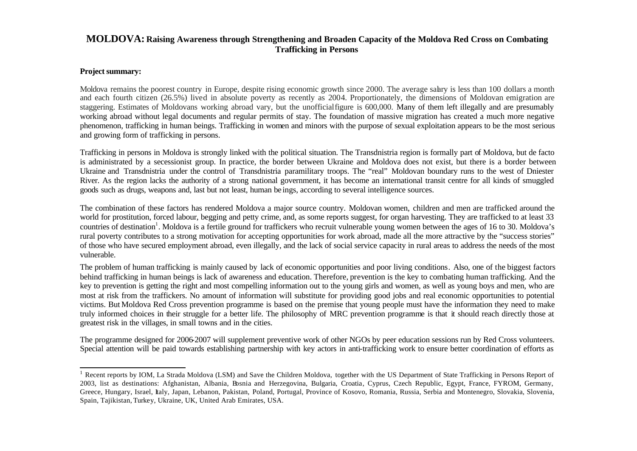## **MOLDOVA: Raising Awareness through Strengthening and Broaden Capacity of the Moldova Red Cross on Combating Trafficking in Persons**

## **Project summary:**

l

Moldova remains the poorest country in Europe, despite rising economic growth since 2000. The average salary is less than 100 dollars a month and each fourth citizen (26.5%) lived in absolute poverty as recently as 2004. Proportionately, the dimensions of Moldovan emigration are staggering. Estimates of Moldovans working abroad vary, but the unofficial figure is 600,000. Many of them left illegally and are presumably working abroad without legal documents and regular permits of stay. The foundation of massive migration has created a much more negative phenomenon, trafficking in human beings. Trafficking in women and minors with the purpose of sexual exploitation appears to be the most serious and growing form of trafficking in persons.

Trafficking in persons in Moldova is strongly linked with the political situation. The Transdnistria region is formally part of Moldova, but de facto is administrated by a secessionist group. In practice, the border between Ukraine and Moldova does not exist, but there is a border between Ukraine and Transdnistria under the control of Transdnistria paramilitary troops. The "real" Moldovan boundary runs to the west of Dniester River. As the region lacks the authority of a strong national government, it has become an international transit centre for all kinds of smuggled goods such as drugs, weapons and, last but not least, human be ings, according to several intelligence sources.

The combination of these factors has rendered Moldova a major source country. Moldovan women, children and men are trafficked around the world for prostitution, forced labour, begging and petty crime, and, as some reports suggest, for organ harvesting. They are trafficked to at least 33 countries of destination<sup>1</sup>. Moldova is a fertile ground for traffickers who recruit vulnerable young women between the ages of 16 to 30. Moldova's rural poverty contributes to a strong motivation for accepting opportunities for work abroad, made all the more attractive by the "success stories" of those who have secured employment abroad, even illegally, and the lack of social service capacity in rural areas to address the needs of the most vulnerable.

The problem of human trafficking is mainly caused by lack of economic opportunities and poor living conditions. Also, one of the biggest factors behind trafficking in human beings is lack of awareness and education. Therefore, prevention is the key to combating human trafficking. And the key to prevention is getting the right and most compelling information out to the young girls and women, as well as young boys and men, who are most at risk from the traffickers. No amount of information will substitute for providing good jobs and real economic opportunities to potential victims. But Moldova Red Cross prevention programme is based on the premise that young people must have the information they need to make truly informed choices in their struggle for a better life. The philosophy of MRC prevention programme is that it should reach directly those at greatest risk in the villages, in small towns and in the cities.

The programme designed for 2006-2007 will supplement preventive work of other NGOs by peer education sessions run by Red Cross volunteers. Special attention will be paid towards establishing partnership with key actors in anti-trafficking work to ensure better coordination of efforts as

<sup>&</sup>lt;sup>1</sup> Recent reports by IOM, La Strada Moldova (LSM) and Save the Children Moldova, together with the US Department of State Trafficking in Persons Report of 2003, list as destinations: Afghanistan, Albania, Bosnia and Herzegovina, Bulgaria, Croatia, Cyprus, Czech Republic, Egypt, France, FYROM, Germany, Greece, Hungary, Israel, Italy, Japan, Lebanon, Pakistan, Poland, Portugal, Province of Kosovo, Romania, Russia, Serbia and Montenegro, Slovakia, Slovenia, Spain, Tajikistan, Turkey, Ukraine, UK, United Arab Emirates, USA.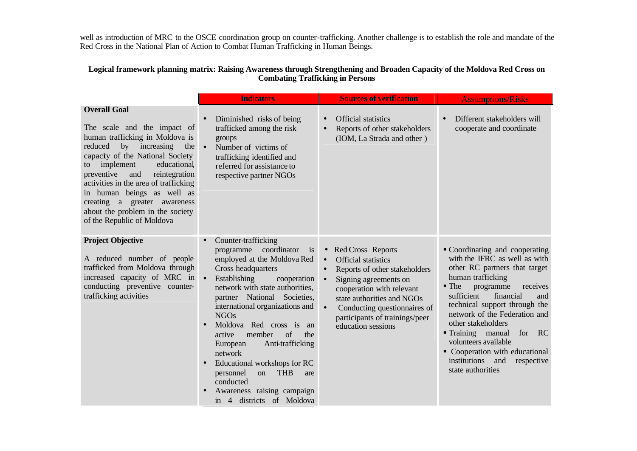well as introduction of MRC to the OSCE coordination group on counter-trafficking. Another challenge is to establish the role and mandate of the Red Cross in the National Plan of Action to Combat Human Trafficking in Human Beings.

## **Logical framework planning matrix: Raising Awareness through Strengthening and Broaden Capacity of the Moldova Red Cross on Combating Trafficking in Persons**

|                                                                                                                                                                                                                                                                                                                                                                                                               | <b>Indicators</b>                                                                                                                                                                                                                                                                                                                                                                                                                                                                                                                                                                    | <b>Sources of verification</b>                                                                                                                                                                                                                                                                                                | <b>Assumptions/Risks</b>                                                                                                                                                                                                                                                                                                                                                                                                                     |
|---------------------------------------------------------------------------------------------------------------------------------------------------------------------------------------------------------------------------------------------------------------------------------------------------------------------------------------------------------------------------------------------------------------|--------------------------------------------------------------------------------------------------------------------------------------------------------------------------------------------------------------------------------------------------------------------------------------------------------------------------------------------------------------------------------------------------------------------------------------------------------------------------------------------------------------------------------------------------------------------------------------|-------------------------------------------------------------------------------------------------------------------------------------------------------------------------------------------------------------------------------------------------------------------------------------------------------------------------------|----------------------------------------------------------------------------------------------------------------------------------------------------------------------------------------------------------------------------------------------------------------------------------------------------------------------------------------------------------------------------------------------------------------------------------------------|
| <b>Overall Goal</b><br>The scale and the impact of<br>human trafficking in Moldova is<br>by increasing<br>reduced<br>the<br>capacity of the National Society<br>implement<br>educational<br>to<br>preventive<br>reintegration<br>and<br>activities in the area of trafficking<br>in human beings as well as<br>creating a greater awareness<br>about the problem in the society<br>of the Republic of Moldova | Diminished risks of being<br>$\bullet$<br>trafficked among the risk<br>groups<br>Number of victims of<br>$\bullet$<br>trafficking identified and<br>referred for assistance to<br>respective partner NGOs                                                                                                                                                                                                                                                                                                                                                                            | <b>Official statistics</b><br>$\bullet$<br>Reports of other stakeholders<br>$\bullet$<br>(IOM, La Strada and other)                                                                                                                                                                                                           | Different stakeholders will<br>$\bullet$<br>cooperate and coordinate                                                                                                                                                                                                                                                                                                                                                                         |
| <b>Project Objective</b><br>A reduced number of people<br>trafficked from Moldova through<br>increased capacity of MRC in<br>conducting preventive counter-<br>trafficking activities                                                                                                                                                                                                                         | Counter-trafficking<br>$\bullet$<br>coordinator<br>programme<br>$\frac{1}{1}$<br>employed at the Moldova Red<br>Cross headquarters<br>$\bullet$<br>Establishing<br>cooperation<br>network with state authorities,<br>partner National Societies,<br>international organizations and<br><b>NGOs</b><br>Moldova Red cross is<br>an<br>of<br>member<br>the<br>active<br>Anti-trafficking<br>European<br>network<br>Educational workshops for RC<br>$\bullet$<br><b>THB</b><br>personnel<br><sub>on</sub><br>are<br>conducted<br>Awareness raising campaign<br>in 4 districts of Moldova | Red Cross Reports<br>$\bullet$<br><b>Official statistics</b><br>$\bullet$<br>Reports of other stakeholders<br>$\bullet$<br>Signing agreements on<br>$\bullet$<br>cooperation with relevant<br>state authorities and NGOs<br>Conducting questionnaires of<br>$\bullet$<br>participants of trainings/peer<br>education sessions | • Coordinating and cooperating<br>with the IFRC as well as with<br>other RC partners that target<br>human trafficking<br>$\blacksquare$ The<br>programme<br>receives<br>sufficient<br>financial<br>and<br>technical support through the<br>network of the Federation and<br>other stakeholders<br>Training manual<br>for RC<br>volunteers available<br>• Cooperation with educational<br>institutions and<br>respective<br>state authorities |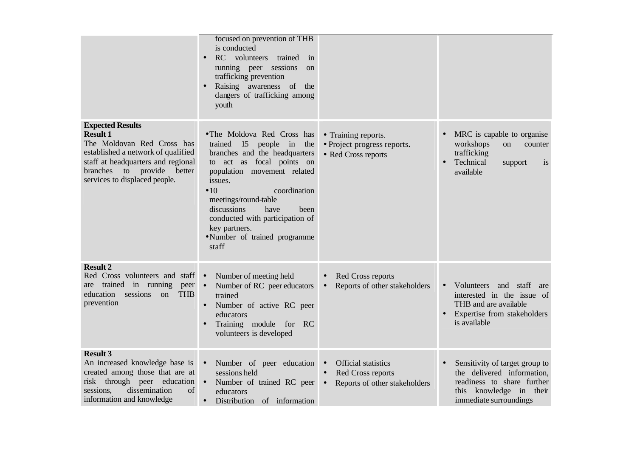|                                                                                                                                                                                                                                  | focused on prevention of THB<br>is conducted<br>RC<br>volunteers<br>trained<br>in<br>running peer sessions<br><sub>on</sub><br>trafficking prevention<br>Raising awareness of the<br>$\bullet$<br>dangers of trafficking among<br>youth                                                                                                                       |                                                                                                                         |                                                                                                                                                   |
|----------------------------------------------------------------------------------------------------------------------------------------------------------------------------------------------------------------------------------|---------------------------------------------------------------------------------------------------------------------------------------------------------------------------------------------------------------------------------------------------------------------------------------------------------------------------------------------------------------|-------------------------------------------------------------------------------------------------------------------------|---------------------------------------------------------------------------------------------------------------------------------------------------|
| <b>Expected Results</b><br><b>Result 1</b><br>The Moldovan Red Cross has<br>established a network of qualified<br>staff at headquarters and regional<br>to provide<br>better<br><b>branches</b><br>services to displaced people. | • The Moldova Red Cross has<br>trained<br>15<br>people in<br>the<br>branches and the headquarters<br>to act as focal points on<br>population movement related<br>issues.<br>$\bullet$ 10<br>coordination<br>meetings/round-table<br>discussions<br>have<br>been<br>conducted with participation of<br>key partners.<br>• Number of trained programme<br>staff | • Training reports.<br>• Project progress reports.<br>• Red Cross reports                                               | MRC is capable to organise<br>workshops<br>on<br>counter<br>trafficking<br>Technical<br>support<br>1S<br>available                                |
| <b>Result 2</b><br>Red Cross volunteers and staff •<br>trained in running<br>peer<br>are<br>sessions<br><b>THB</b><br>education<br><sub>on</sub><br>prevention                                                                   | Number of meeting held<br>Number of RC peer educators<br>$\bullet$<br>trained<br>Number of active RC peer<br>educators<br>Training module for RC<br>$\bullet$<br>volunteers is developed                                                                                                                                                                      | Red Cross reports<br>$\bullet$<br>Reports of other stakeholders<br>$\bullet$                                            | and staff<br>Volunteers<br>are<br>$\bullet$<br>interested in the issue of<br>THB and are available<br>Expertise from stakeholders<br>is available |
| <b>Result 3</b><br>An increased knowledge base is<br>created among those that are at<br>risk through peer education<br>dissemination<br>sessions,<br>of<br>information and knowledge                                             | Number of peer education<br>$\bullet$<br>sessions held<br>Number of trained RC peer<br>$\bullet$<br>educators<br>Distribution of information<br>$\bullet$                                                                                                                                                                                                     | <b>Official statistics</b><br>$\bullet$<br>Red Cross reports<br>$\bullet$<br>Reports of other stakeholders<br>$\bullet$ | Sensitivity of target group to<br>the delivered information,<br>readiness to share further<br>this knowledge in their<br>immediate surroundings   |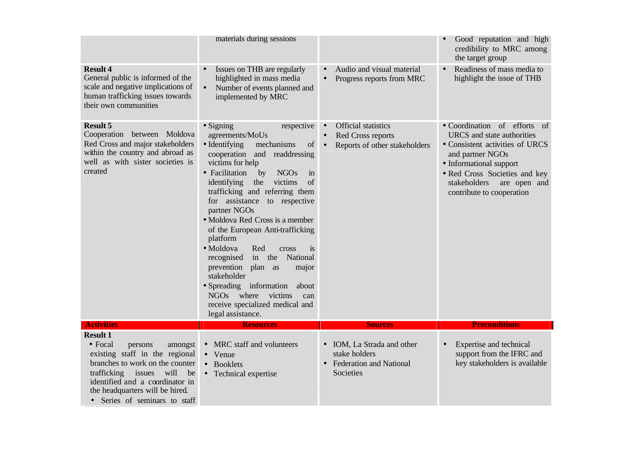|                                                                                                                                                                                                                                                                             | materials during sessions                                                                                                                                                                                                                                                                                                                                                                                                                                                                                                                                                                                                                                         |                                                                                                                         | Good reputation and high<br>credibility to MRC among<br>the target group                                                                                                                                                                                 |
|-----------------------------------------------------------------------------------------------------------------------------------------------------------------------------------------------------------------------------------------------------------------------------|-------------------------------------------------------------------------------------------------------------------------------------------------------------------------------------------------------------------------------------------------------------------------------------------------------------------------------------------------------------------------------------------------------------------------------------------------------------------------------------------------------------------------------------------------------------------------------------------------------------------------------------------------------------------|-------------------------------------------------------------------------------------------------------------------------|----------------------------------------------------------------------------------------------------------------------------------------------------------------------------------------------------------------------------------------------------------|
| <b>Result 4</b><br>General public is informed of the<br>scale and negative implications of<br>human trafficking issues towards<br>their own communities                                                                                                                     | Issues on THB are regularly<br>highlighted in mass media<br>Number of events planned and<br>implemented by MRC                                                                                                                                                                                                                                                                                                                                                                                                                                                                                                                                                    | Audio and visual material<br>$\bullet$<br>Progress reports from MRC<br>$\bullet$                                        | Readiness of mass media to<br>highlight the issue of THB                                                                                                                                                                                                 |
| <b>Result 5</b><br>Cooperation between Moldova<br>Red Cross and major stakeholders<br>within the country and abroad as<br>well as with sister societies is<br>created                                                                                                       | $\bullet$ Signing<br>respective<br>agreements/MoUs<br>• Identifying<br>mechanisms<br>of<br>cooperation<br>readdressing<br>and<br>victims for help<br>• Facilitation<br><b>NGOs</b><br>by<br>in<br>victims<br>of<br>identifying<br>the<br>trafficking and referring them<br>for assistance to respective<br>partner NGOs<br>• Moldova Red Cross is a member<br>of the European Anti-trafficking<br>platform<br>· Moldova<br>Red<br>is<br>cross<br>the<br>National<br>in<br>recognised<br>prevention<br>plan as<br>major<br>stakeholder<br>• Spreading information<br>about<br>NGOs where<br>victims<br>can<br>receive specialized medical and<br>legal assistance. | <b>Official statistics</b><br>$\bullet$<br>Red Cross reports<br>$\bullet$<br>Reports of other stakeholders<br>$\bullet$ | • Coordination of efforts<br><sub>of</sub><br>URCS and state authorities<br>• Consistent activities of URCS<br>and partner NGOs<br>• Informational support<br>· Red Cross Societies and key<br>stakeholders<br>are open and<br>contribute to cooperation |
| <b>Activities</b>                                                                                                                                                                                                                                                           | <b>Resources</b>                                                                                                                                                                                                                                                                                                                                                                                                                                                                                                                                                                                                                                                  | <b>Sources</b>                                                                                                          | <b>Preconditions</b>                                                                                                                                                                                                                                     |
| <b>Result 1</b><br>$\bullet$ Focal<br>persons<br>amongst<br>existing staff in the regional<br>branches to work on the counter<br>trafficking<br>issues<br>will<br>be<br>identified and a coordinator in<br>the headquarters will be hired.<br>• Series of seminars to staff | MRC staff and volunteers<br>$\bullet$<br>• Venue<br>• Booklets<br>Technical expertise<br>$\bullet$                                                                                                                                                                                                                                                                                                                                                                                                                                                                                                                                                                | IOM, La Strada and other<br>$\bullet$<br>stake holders<br><b>Federation and National</b><br>$\bullet$<br>Societies      | Expertise and technical<br>$\bullet$<br>support from the IFRC and<br>key stakeholders is available                                                                                                                                                       |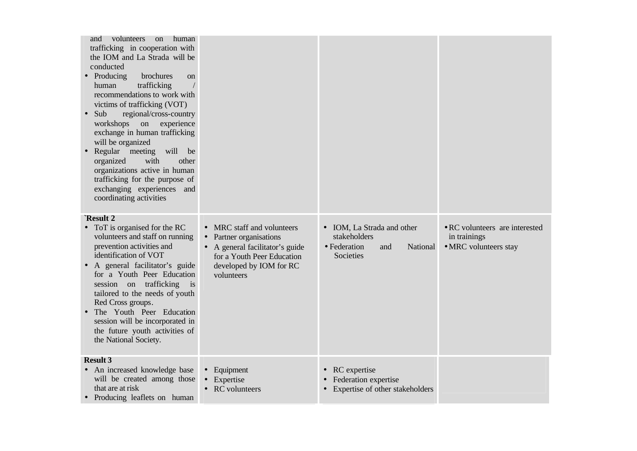| human<br>volunteers<br><sub>on</sub><br>and<br>trafficking in cooperation with<br>the IOM and La Strada will be<br>conducted<br>• Producing<br>brochures<br><sub>on</sub><br>trafficking<br>human<br>recommendations to work with<br>victims of trafficking (VOT)<br>Sub<br>regional/cross-country<br>$\bullet$<br>workshops<br>experience<br>on<br>exchange in human trafficking<br>will be organized<br>Regular meeting<br>will<br>be<br>$\bullet$<br>organized<br>with<br>other<br>organizations active in human<br>trafficking for the purpose of<br>exchanging experiences and<br>coordinating activities |                                                                                                                                                                                     |                                                                                                       |                                                                         |
|----------------------------------------------------------------------------------------------------------------------------------------------------------------------------------------------------------------------------------------------------------------------------------------------------------------------------------------------------------------------------------------------------------------------------------------------------------------------------------------------------------------------------------------------------------------------------------------------------------------|-------------------------------------------------------------------------------------------------------------------------------------------------------------------------------------|-------------------------------------------------------------------------------------------------------|-------------------------------------------------------------------------|
| `Result 2<br>ToT is organised for the RC<br>$\bullet$<br>volunteers and staff on running<br>prevention activities and<br>identification of VOT<br>A general facilitator's guide<br>for a Youth Peer Education<br>session on trafficking is<br>tailored to the needs of youth<br>Red Cross groups.<br>The Youth Peer Education<br>$\bullet$<br>session will be incorporated in<br>the future youth activities of<br>the National Society.                                                                                                                                                                       | MRC staff and volunteers<br>$\bullet$<br>Partner organisations<br>$\bullet$<br>A general facilitator's guide<br>for a Youth Peer Education<br>developed by IOM for RC<br>volunteers | IOM, La Strada and other<br>$\bullet$<br>stakeholders<br>• Federation<br>National<br>and<br>Societies | • RC volunteers are interested<br>in trainings<br>• MRC volunteers stay |
| <b>Result 3</b><br>An increased knowledge base<br>will be created among those<br>that are at risk<br>• Producing leaflets on human                                                                                                                                                                                                                                                                                                                                                                                                                                                                             | Equipment<br>$\bullet$<br>Expertise<br>$\bullet$<br><b>RC</b> volunteers                                                                                                            | RC expertise<br>$\bullet$<br>Federation expertise<br>Expertise of other stakeholders<br>$\bullet$     |                                                                         |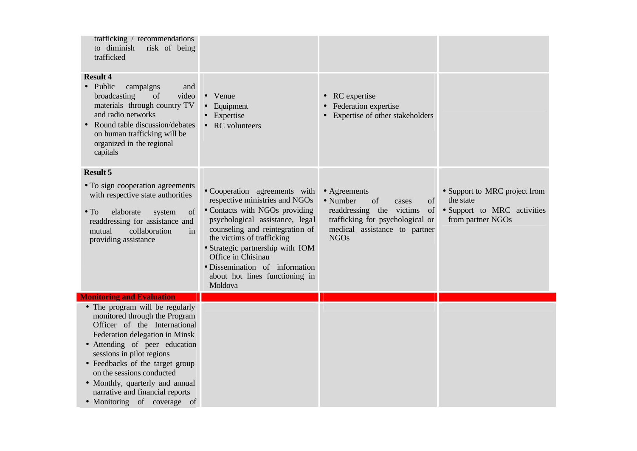| trafficking / recommendations<br>to diminish<br>risk of being<br>trafficked                                                                                                                                                                                                                                                                                           |                                                                                                                                                                                                                                                                                                                                                |                                                                                                                                                                     |                                                                                                |
|-----------------------------------------------------------------------------------------------------------------------------------------------------------------------------------------------------------------------------------------------------------------------------------------------------------------------------------------------------------------------|------------------------------------------------------------------------------------------------------------------------------------------------------------------------------------------------------------------------------------------------------------------------------------------------------------------------------------------------|---------------------------------------------------------------------------------------------------------------------------------------------------------------------|------------------------------------------------------------------------------------------------|
| <b>Result 4</b><br>• Public<br>campaigns<br>and<br>video<br>broadcasting<br>of<br>materials through country TV<br>and radio networks<br>Round table discussion/debates<br>on human trafficking will be<br>organized in the regional<br>capitals                                                                                                                       | Venue<br>$\bullet$<br>Equipment<br>$\bullet$<br>Expertise<br>• RC volunteers                                                                                                                                                                                                                                                                   | • RC expertise<br>• Federation expertise<br>Expertise of other stakeholders                                                                                         |                                                                                                |
| <b>Result 5</b><br>• To sign cooperation agreements<br>with respective state authorities<br>elaborate<br>$\bullet$ To<br>of<br>system<br>readdressing for assistance and<br>collaboration<br>mutual<br>in<br>providing assistance                                                                                                                                     | • Cooperation agreements with<br>respective ministries and NGOs<br>• Contacts with NGOs providing<br>psychological assistance, legal<br>counseling and reintegration of<br>the victims of trafficking<br>• Strategic partnership with IOM<br>Office in Chisinau<br>· Dissemination of information<br>about hot lines functioning in<br>Moldova | • Agreements<br>• Number<br>of<br>cases<br>of<br>readdressing the victims<br>of<br>trafficking for psychological or<br>medical assistance to partner<br><b>NGOs</b> | • Support to MRC project from<br>the state<br>• Support to MRC activities<br>from partner NGOs |
| <b>Monitoring and Evaluation</b>                                                                                                                                                                                                                                                                                                                                      |                                                                                                                                                                                                                                                                                                                                                |                                                                                                                                                                     |                                                                                                |
| • The program will be regularly<br>monitored through the Program<br>Officer of the International<br>Federation delegation in Minsk<br>• Attending of peer education<br>sessions in pilot regions<br>• Feedbacks of the target group<br>on the sessions conducted<br>• Monthly, quarterly and annual<br>narrative and financial reports<br>• Monitoring of coverage of |                                                                                                                                                                                                                                                                                                                                                |                                                                                                                                                                     |                                                                                                |